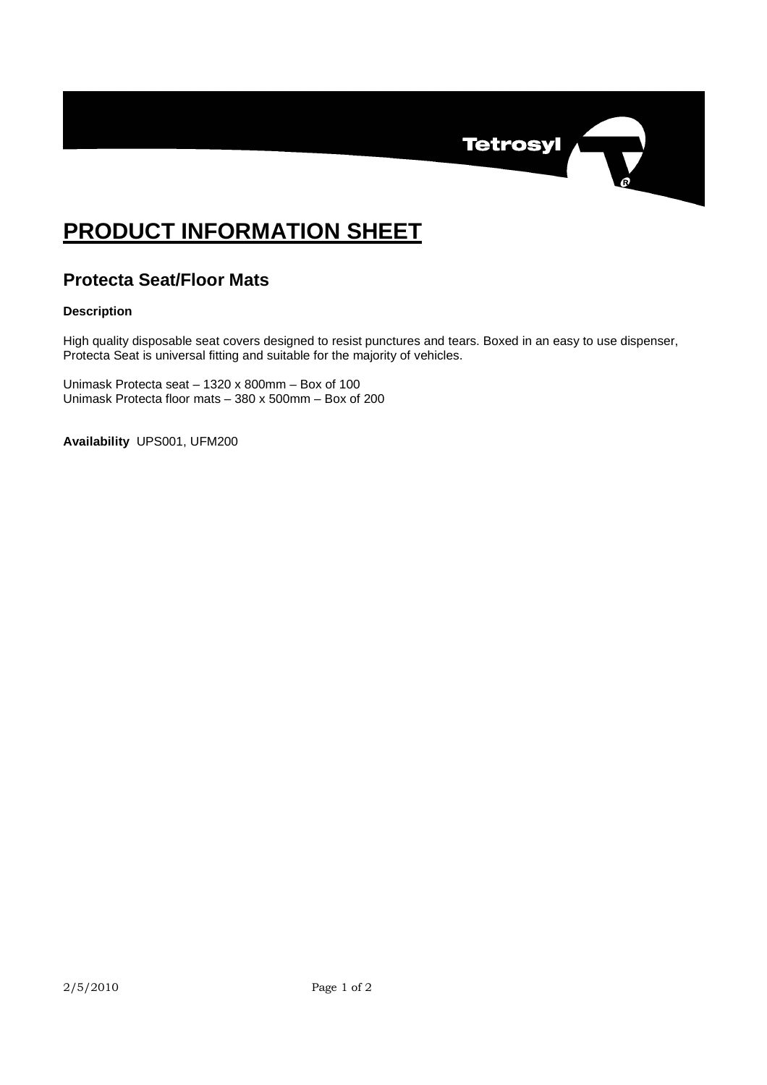

## **PRODUCT INFORMATION SHEET**

## **Protecta Seat/Floor Mats**

## **Description**

High quality disposable seat covers designed to resist punctures and tears. Boxed in an easy to use dispenser, Protecta Seat is universal fitting and suitable for the majority of vehicles.

Unimask Protecta seat – 1320 x 800mm – Box of 100 Unimask Protecta floor mats – 380 x 500mm – Box of 200

**Availability** UPS001, UFM200